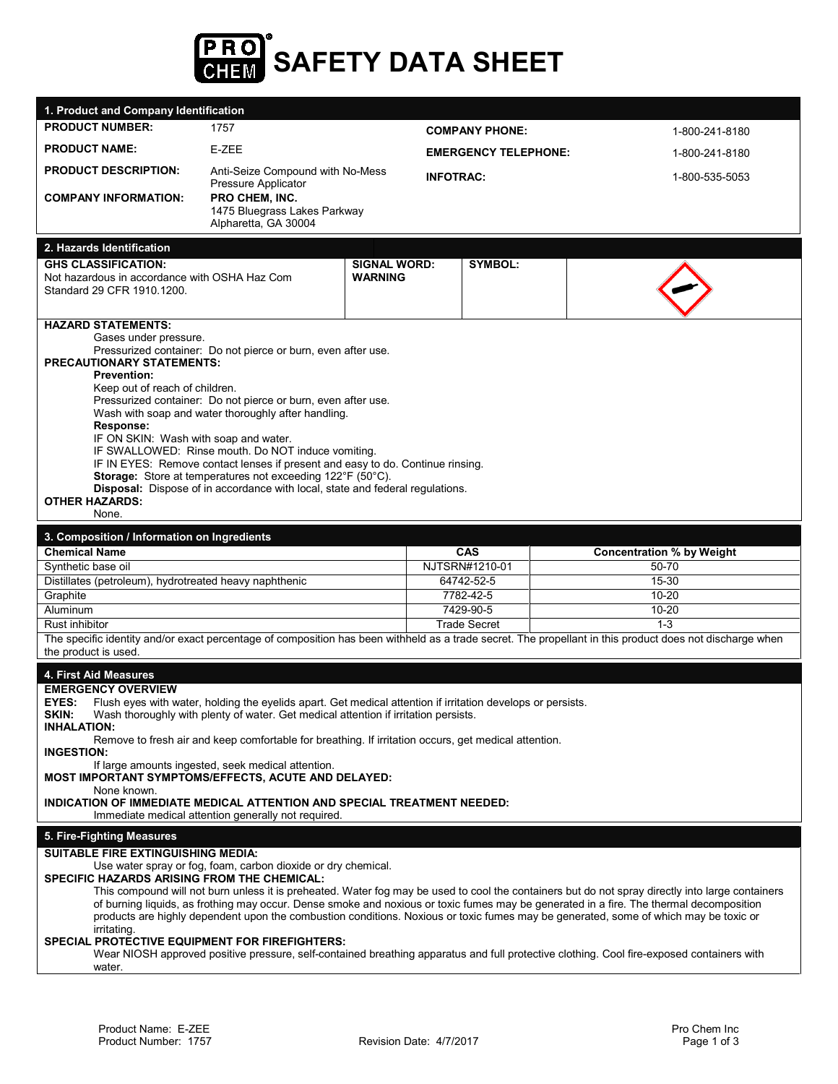

| 1. Product and Company Identification                                        |                                                                                                                                             |                     |                              |                                                                                                                                                          |
|------------------------------------------------------------------------------|---------------------------------------------------------------------------------------------------------------------------------------------|---------------------|------------------------------|----------------------------------------------------------------------------------------------------------------------------------------------------------|
| <b>PRODUCT NUMBER:</b>                                                       | 1757                                                                                                                                        |                     | <b>COMPANY PHONE:</b>        | 1-800-241-8180                                                                                                                                           |
| <b>PRODUCT NAME:</b>                                                         | E-ZEE                                                                                                                                       |                     | <b>EMERGENCY TELEPHONE:</b>  | 1-800-241-8180                                                                                                                                           |
| <b>PRODUCT DESCRIPTION:</b>                                                  | Anti-Seize Compound with No-Mess<br>Pressure Applicator                                                                                     | <b>INFOTRAC:</b>    |                              | 1-800-535-5053                                                                                                                                           |
| <b>COMPANY INFORMATION:</b>                                                  | PRO CHEM, INC.<br>1475 Bluegrass Lakes Parkway<br>Alpharetta, GA 30004                                                                      |                     |                              |                                                                                                                                                          |
|                                                                              |                                                                                                                                             |                     |                              |                                                                                                                                                          |
| 2. Hazards Identification<br><b>GHS CLASSIFICATION:</b>                      |                                                                                                                                             | <b>SIGNAL WORD:</b> | <b>SYMBOL:</b>               |                                                                                                                                                          |
| Not hazardous in accordance with OSHA Haz Com                                |                                                                                                                                             | <b>WARNING</b>      |                              |                                                                                                                                                          |
| Standard 29 CFR 1910.1200.                                                   |                                                                                                                                             |                     |                              |                                                                                                                                                          |
| <b>HAZARD STATEMENTS:</b>                                                    |                                                                                                                                             |                     |                              |                                                                                                                                                          |
| Gases under pressure.                                                        |                                                                                                                                             |                     |                              |                                                                                                                                                          |
| <b>PRECAUTIONARY STATEMENTS:</b>                                             | Pressurized container: Do not pierce or burn, even after use.                                                                               |                     |                              |                                                                                                                                                          |
| <b>Prevention:</b>                                                           |                                                                                                                                             |                     |                              |                                                                                                                                                          |
| Keep out of reach of children.                                               | Pressurized container: Do not pierce or burn, even after use.                                                                               |                     |                              |                                                                                                                                                          |
|                                                                              | Wash with soap and water thoroughly after handling.                                                                                         |                     |                              |                                                                                                                                                          |
| Response:                                                                    |                                                                                                                                             |                     |                              |                                                                                                                                                          |
| IF ON SKIN: Wash with soap and water.                                        | IF SWALLOWED: Rinse mouth. Do NOT induce vomiting.                                                                                          |                     |                              |                                                                                                                                                          |
|                                                                              | IF IN EYES: Remove contact lenses if present and easy to do. Continue rinsing.                                                              |                     |                              |                                                                                                                                                          |
|                                                                              | Storage: Store at temperatures not exceeding 122°F (50°C).<br>Disposal: Dispose of in accordance with local, state and federal regulations. |                     |                              |                                                                                                                                                          |
| <b>OTHER HAZARDS:</b>                                                        |                                                                                                                                             |                     |                              |                                                                                                                                                          |
| None.                                                                        |                                                                                                                                             |                     |                              |                                                                                                                                                          |
| 3. Composition / Information on Ingredients                                  |                                                                                                                                             |                     |                              |                                                                                                                                                          |
|                                                                              |                                                                                                                                             |                     |                              |                                                                                                                                                          |
| <b>Chemical Name</b>                                                         |                                                                                                                                             |                     | <b>CAS</b>                   | <b>Concentration % by Weight</b>                                                                                                                         |
| Synthetic base oil<br>Distillates (petroleum), hydrotreated heavy naphthenic |                                                                                                                                             |                     | NJTSRN#1210-01<br>64742-52-5 | 50-70<br>15-30                                                                                                                                           |
| Graphite                                                                     |                                                                                                                                             |                     | 7782-42-5                    | $10 - 20$                                                                                                                                                |
| Aluminum                                                                     |                                                                                                                                             |                     | 7429-90-5                    | $10 - 20$                                                                                                                                                |
| Rust inhibitor                                                               |                                                                                                                                             |                     | <b>Trade Secret</b>          | $1 - 3$                                                                                                                                                  |
| the product is used.                                                         |                                                                                                                                             |                     |                              | The specific identity and/or exact percentage of composition has been withheld as a trade secret. The propellant in this product does not discharge when |
| 4. First Aid Measures                                                        |                                                                                                                                             |                     |                              |                                                                                                                                                          |
| <b>EMERGENCY OVERVIEW</b>                                                    |                                                                                                                                             |                     |                              |                                                                                                                                                          |
| <b>EYES:</b>                                                                 | Flush eyes with water, holding the eyelids apart. Get medical attention if irritation develops or persists.                                 |                     |                              |                                                                                                                                                          |
| SKIN:<br><b>INHALATION:</b>                                                  | Wash thoroughly with plenty of water. Get medical attention if irritation persists.                                                         |                     |                              |                                                                                                                                                          |
|                                                                              | Remove to fresh air and keep comfortable for breathing. If irritation occurs, get medical attention.                                        |                     |                              |                                                                                                                                                          |
| <b>INGESTION:</b><br>MOST IMPORTANT SYMPTOMS/EFFECTS, ACUTE AND DELAYED:     | If large amounts ingested, seek medical attention.                                                                                          |                     |                              |                                                                                                                                                          |
| None known.                                                                  |                                                                                                                                             |                     |                              |                                                                                                                                                          |
| INDICATION OF IMMEDIATE MEDICAL ATTENTION AND SPECIAL TREATMENT NEEDED:      | Immediate medical attention generally not required.                                                                                         |                     |                              |                                                                                                                                                          |
| 5. Fire-Fighting Measures                                                    |                                                                                                                                             |                     |                              |                                                                                                                                                          |
| SUITABLE FIRE EXTINGUISHING MEDIA:                                           |                                                                                                                                             |                     |                              |                                                                                                                                                          |
|                                                                              | Use water spray or fog, foam, carbon dioxide or dry chemical.                                                                               |                     |                              |                                                                                                                                                          |
| SPECIFIC HAZARDS ARISING FROM THE CHEMICAL:                                  |                                                                                                                                             |                     |                              | This compound will not burn unless it is preheated. Water fog may be used to cool the containers but do not spray directly into large containers         |
|                                                                              |                                                                                                                                             |                     |                              | of burning liquids, as frothing may occur. Dense smoke and noxious or toxic fumes may be generated in a fire. The thermal decomposition                  |
| irritating.                                                                  |                                                                                                                                             |                     |                              | products are highly dependent upon the combustion conditions. Noxious or toxic fumes may be generated, some of which may be toxic or                     |
| SPECIAL PROTECTIVE EQUIPMENT FOR FIREFIGHTERS:                               |                                                                                                                                             |                     |                              | Wear NIOSH approved positive pressure, self-contained breathing apparatus and full protective clothing. Cool fire-exposed containers with                |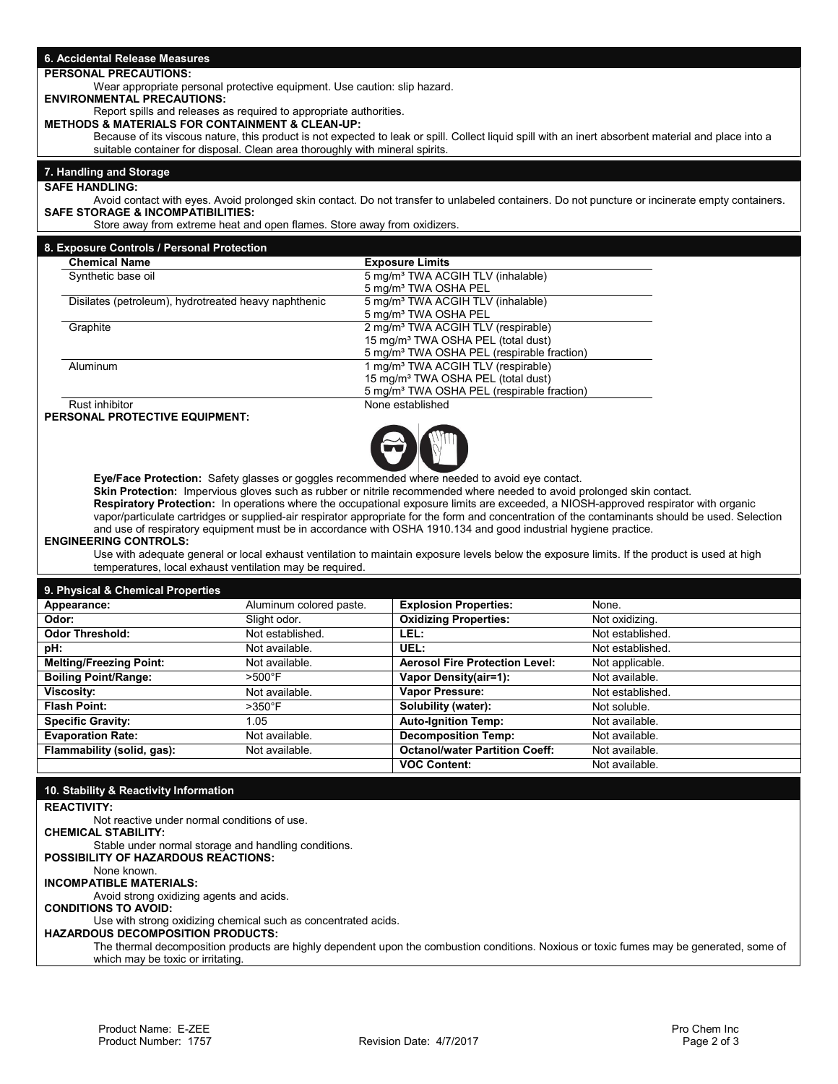| 6. Accidental Release Measures                                                                                                       |                                                          |                                                                                                                                                                                                                                                                     |                                                                                                                                              |
|--------------------------------------------------------------------------------------------------------------------------------------|----------------------------------------------------------|---------------------------------------------------------------------------------------------------------------------------------------------------------------------------------------------------------------------------------------------------------------------|----------------------------------------------------------------------------------------------------------------------------------------------|
| <b>PERSONAL PRECAUTIONS:</b>                                                                                                         |                                                          |                                                                                                                                                                                                                                                                     |                                                                                                                                              |
| Wear appropriate personal protective equipment. Use caution: slip hazard.                                                            |                                                          |                                                                                                                                                                                                                                                                     |                                                                                                                                              |
| <b>ENVIRONMENTAL PRECAUTIONS:</b>                                                                                                    |                                                          |                                                                                                                                                                                                                                                                     |                                                                                                                                              |
| Report spills and releases as required to appropriate authorities.<br><b>METHODS &amp; MATERIALS FOR CONTAINMENT &amp; CLEAN-UP:</b> |                                                          |                                                                                                                                                                                                                                                                     |                                                                                                                                              |
|                                                                                                                                      |                                                          | Because of its viscous nature, this product is not expected to leak or spill. Collect liquid spill with an inert absorbent material and place into a                                                                                                                |                                                                                                                                              |
| suitable container for disposal. Clean area thoroughly with mineral spirits.                                                         |                                                          |                                                                                                                                                                                                                                                                     |                                                                                                                                              |
| 7. Handling and Storage                                                                                                              |                                                          |                                                                                                                                                                                                                                                                     |                                                                                                                                              |
| <b>SAFE HANDLING:</b>                                                                                                                |                                                          |                                                                                                                                                                                                                                                                     |                                                                                                                                              |
|                                                                                                                                      |                                                          | Avoid contact with eyes. Avoid prolonged skin contact. Do not transfer to unlabeled containers. Do not puncture or incinerate empty containers.                                                                                                                     |                                                                                                                                              |
| <b>SAFE STORAGE &amp; INCOMPATIBILITIES:</b>                                                                                         |                                                          |                                                                                                                                                                                                                                                                     |                                                                                                                                              |
| Store away from extreme heat and open flames. Store away from oxidizers.                                                             |                                                          |                                                                                                                                                                                                                                                                     |                                                                                                                                              |
| 8. Exposure Controls / Personal Protection                                                                                           |                                                          |                                                                                                                                                                                                                                                                     |                                                                                                                                              |
| <b>Chemical Name</b>                                                                                                                 |                                                          | <b>Exposure Limits</b>                                                                                                                                                                                                                                              |                                                                                                                                              |
| Synthetic base oil                                                                                                                   |                                                          | 5 mg/m <sup>3</sup> TWA ACGIH TLV (inhalable)                                                                                                                                                                                                                       |                                                                                                                                              |
| Disilates (petroleum), hydrotreated heavy naphthenic                                                                                 |                                                          | 5 mg/m <sup>3</sup> TWA OSHA PEL<br>5 mg/m <sup>3</sup> TWA ACGIH TLV (inhalable)                                                                                                                                                                                   |                                                                                                                                              |
|                                                                                                                                      |                                                          | 5 mg/m <sup>3</sup> TWA OSHA PEL                                                                                                                                                                                                                                    |                                                                                                                                              |
| Graphite                                                                                                                             |                                                          | 2 mg/m <sup>3</sup> TWA ACGIH TLV (respirable)                                                                                                                                                                                                                      |                                                                                                                                              |
|                                                                                                                                      |                                                          | 15 mg/m <sup>3</sup> TWA OSHA PEL (total dust)                                                                                                                                                                                                                      |                                                                                                                                              |
| Aluminum                                                                                                                             |                                                          | 5 mg/m <sup>3</sup> TWA OSHA PEL (respirable fraction)<br>1 mg/m <sup>3</sup> TWA ACGIH TLV (respirable)                                                                                                                                                            |                                                                                                                                              |
|                                                                                                                                      |                                                          | 15 mg/m <sup>3</sup> TWA OSHA PEL (total dust)                                                                                                                                                                                                                      |                                                                                                                                              |
|                                                                                                                                      |                                                          | 5 mg/m <sup>3</sup> TWA OSHA PEL (respirable fraction)                                                                                                                                                                                                              |                                                                                                                                              |
| Rust inhibitor<br>PERSONAL PROTECTIVE EQUIPMENT:                                                                                     |                                                          | None established                                                                                                                                                                                                                                                    |                                                                                                                                              |
|                                                                                                                                      |                                                          |                                                                                                                                                                                                                                                                     |                                                                                                                                              |
|                                                                                                                                      |                                                          |                                                                                                                                                                                                                                                                     |                                                                                                                                              |
|                                                                                                                                      |                                                          |                                                                                                                                                                                                                                                                     |                                                                                                                                              |
|                                                                                                                                      |                                                          | Eye/Face Protection: Safety glasses or goggles recommended where needed to avoid eye contact.                                                                                                                                                                       |                                                                                                                                              |
|                                                                                                                                      |                                                          | Skin Protection: Impervious gloves such as rubber or nitrile recommended where needed to avoid prolonged skin contact.                                                                                                                                              |                                                                                                                                              |
|                                                                                                                                      |                                                          | Respiratory Protection: In operations where the occupational exposure limits are exceeded, a NIOSH-approved respirator with organic                                                                                                                                 |                                                                                                                                              |
|                                                                                                                                      |                                                          | vapor/particulate cartridges or supplied-air respirator appropriate for the form and concentration of the contaminants should be used. Selection<br>and use of respiratory equipment must be in accordance with OSHA 1910.134 and good industrial hygiene practice. |                                                                                                                                              |
| <b>ENGINEERING CONTROLS:</b>                                                                                                         |                                                          |                                                                                                                                                                                                                                                                     |                                                                                                                                              |
|                                                                                                                                      |                                                          |                                                                                                                                                                                                                                                                     |                                                                                                                                              |
|                                                                                                                                      |                                                          |                                                                                                                                                                                                                                                                     | Use with adequate general or local exhaust ventilation to maintain exposure levels below the exposure limits. If the product is used at high |
|                                                                                                                                      | temperatures, local exhaust ventilation may be required. |                                                                                                                                                                                                                                                                     |                                                                                                                                              |
| 9. Physical & Chemical Properties                                                                                                    |                                                          |                                                                                                                                                                                                                                                                     |                                                                                                                                              |
| Appearance:                                                                                                                          | Aluminum colored paste.                                  | <b>Explosion Properties:</b>                                                                                                                                                                                                                                        | None.                                                                                                                                        |
| Odor:                                                                                                                                | Slight odor.                                             | <b>Oxidizing Properties:</b>                                                                                                                                                                                                                                        | Not oxidizing.                                                                                                                               |
| <b>Odor Threshold:</b>                                                                                                               | Not established.                                         | LEL:                                                                                                                                                                                                                                                                | Not established.                                                                                                                             |
| pH:                                                                                                                                  | Not available.                                           | UEL:                                                                                                                                                                                                                                                                | Not established.                                                                                                                             |
| <b>Melting/Freezing Point:</b>                                                                                                       | Not available.                                           | <b>Aerosol Fire Protection Level:</b>                                                                                                                                                                                                                               | Not applicable.                                                                                                                              |
| <b>Boiling Point/Range:</b><br>Viscosity:                                                                                            | $>500^{\circ}$ F<br>Not available.                       | Vapor Density(air=1):<br>Vapor Pressure:                                                                                                                                                                                                                            | Not available.<br>Not established.                                                                                                           |
| <b>Flash Point:</b>                                                                                                                  | $>350^{\circ}$ F                                         | Solubility (water):                                                                                                                                                                                                                                                 | Not soluble.                                                                                                                                 |
| <b>Specific Gravity:</b>                                                                                                             | 1.05                                                     | <b>Auto-Ignition Temp:</b>                                                                                                                                                                                                                                          | Not available.                                                                                                                               |
| <b>Evaporation Rate:</b>                                                                                                             | Not available.                                           | <b>Decomposition Temp:</b>                                                                                                                                                                                                                                          | Not available.                                                                                                                               |
| Flammability (solid, gas):                                                                                                           | Not available.                                           | <b>Octanol/water Partition Coeff:</b>                                                                                                                                                                                                                               | Not available.                                                                                                                               |
|                                                                                                                                      |                                                          | <b>VOC Content:</b>                                                                                                                                                                                                                                                 | Not available.                                                                                                                               |
|                                                                                                                                      |                                                          |                                                                                                                                                                                                                                                                     |                                                                                                                                              |
| 10. Stability & Reactivity Information                                                                                               |                                                          |                                                                                                                                                                                                                                                                     |                                                                                                                                              |
| <b>REACTIVITY:</b><br>Not reactive under normal conditions of use.                                                                   |                                                          |                                                                                                                                                                                                                                                                     |                                                                                                                                              |
| <b>CHEMICAL STABILITY:</b>                                                                                                           |                                                          |                                                                                                                                                                                                                                                                     |                                                                                                                                              |
| Stable under normal storage and handling conditions.                                                                                 |                                                          |                                                                                                                                                                                                                                                                     |                                                                                                                                              |
| POSSIBILITY OF HAZARDOUS REACTIONS:<br>None known.                                                                                   |                                                          |                                                                                                                                                                                                                                                                     |                                                                                                                                              |
| <b>INCOMPATIBLE MATERIALS:</b>                                                                                                       |                                                          |                                                                                                                                                                                                                                                                     |                                                                                                                                              |
| Avoid strong oxidizing agents and acids.                                                                                             |                                                          |                                                                                                                                                                                                                                                                     |                                                                                                                                              |
| <b>CONDITIONS TO AVOID:</b>                                                                                                          |                                                          |                                                                                                                                                                                                                                                                     |                                                                                                                                              |
| Use with strong oxidizing chemical such as concentrated acids.<br><b>HAZARDOUS DECOMPOSITION PRODUCTS:</b>                           |                                                          |                                                                                                                                                                                                                                                                     |                                                                                                                                              |
| which may be toxic or irritating.                                                                                                    |                                                          | The thermal decomposition products are highly dependent upon the combustion conditions. Noxious or toxic fumes may be generated, some of                                                                                                                            |                                                                                                                                              |